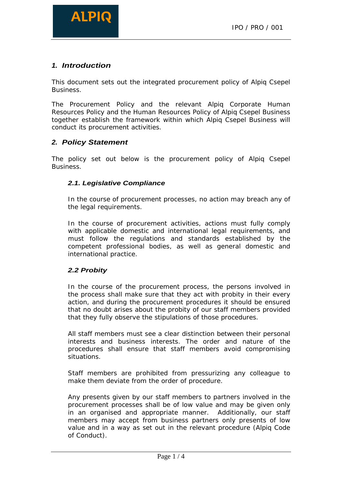

# **1. Introduction**

This document sets out the integrated procurement policy of Alpiq Csepel **Business.** The contract of the contract of the contract of the contract of the contract of the contract of the contract of the contract of the contract of the contract of the contract of the contract of the contract of th

The Procurement Policy and the relevant Alpiq Corporate Human Resources Policy and the Human Resources Policy of Alpiq Csepel Business together establish the framework within which Alpiq Csepel Business will conduct its procurement activities.

## **2. Policy Statement**

The policy set out below is the procurement policy of Alpiq Csepel **Business.** The contract of the contract of the contract of the contract of the contract of the contract of the contract of the contract of the contract of the contract of the contract of the contract of the contract of th

#### **2.1. Legislative Compliance**

In the course of procurement processes, no action may breach any of the legal requirements.

In the course of procurement activities, actions must fully comply with applicable domestic and international legal requirements, and must follow the regulations and standards established by the competent professional bodies, as well as general domestic and international practice.

### **2.2 Probity**

In the course of the procurement process, the persons involved in the process shall make sure that they act with probity in their every action, and during the procurement procedures it should be ensured that no doubt arises about the probity of our staff members provided that they fully observe the stipulations of those procedures.

All staff members must see a clear distinction between their personal interests and business interests. The order and nature of the procedures shall ensure that staff members avoid compromising situations.

Staff members are prohibited from pressurizing any colleague to make them deviate from the order of procedure.

Any presents given by our staff members to partners involved in the procurement processes shall be of low value and may be given only in an organised and appropriate manner. Additionally, our staff members may accept from business partners only presents of low value and in a way as set out in the relevant procedure (Alpiq Code of Conduct).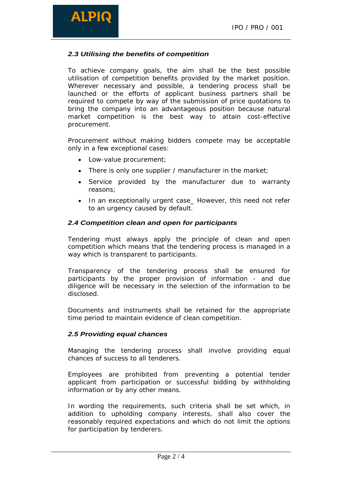# **ALPIC**

## **2.3 Utilising the benefits of competition**

To achieve company goals, the aim shall be the best possible utilisation of competition benefits provided by the market position. Wherever necessary and possible, a tendering process shall be launched or the efforts of applicant business partners shall be required to compete by way of the submission of price quotations to bring the company into an advantageous position because natural market competition is the best way to attain cost-effective procurement.

Procurement without making bidders compete may be acceptable only in a few exceptional cases:

- Low-value procurement;
- There is only one supplier / manufacturer in the market;
- Service provided by the manufacturer due to warranty reasons; and the contract of the contract of the contract of the contract of the contract of the contract of the contract of the contract of the contract of the contract of the contract of the contract of the contract of t
- In an exceptionally urgent case\_ However, this need not refer to an urgency caused by default.

#### **2.4 Competition clean and open for participants**

Tendering must always apply the principle of clean and open competition which means that the tendering process is managed in a way which is transparent to participants.

Transparency of the tendering process shall be ensured for participants by the proper provision of information - and due diligence will be necessary in the selection of the information to be disclosed.

Documents and instruments shall be retained for the appropriate time period to maintain evidence of clean competition.

#### **2.5 Providing equal chances**

Managing the tendering process shall involve providing equal chances of success to all tenderers.

Employees are prohibited from preventing a potential tender applicant from participation or successful bidding by withholding information or by any other means.

In wording the requirements, such criteria shall be set which, in addition to upholding company interests, shall also cover the reasonably required expectations and which do not limit the options for participation by tenderers.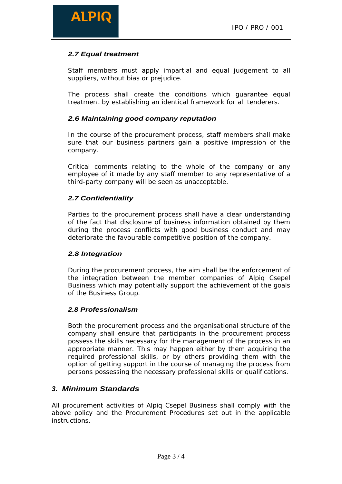# **2.7 Equal treatment**

Staff members must apply impartial and equal judgement to all suppliers, without bias or prejudice.

The process shall create the conditions which guarantee equal treatment by establishing an identical framework for all tenderers.

#### **2.6 Maintaining good company reputation**

In the course of the procurement process, staff members shall make sure that our business partners gain a positive impression of the company.

Critical comments relating to the whole of the company or any employee of it made by any staff member to any representative of a third-party company will be seen as unacceptable.

### **2.7 Confidentiality**

Parties to the procurement process shall have a clear understanding of the fact that disclosure of business information obtained by them during the process conflicts with good business conduct and may deteriorate the favourable competitive position of the company.

### **2.8 Integration**

During the procurement process, the aim shall be the enforcement of the integration between the member companies of Alpiq Csepel Business which may potentially support the achievement of the goals of the Business Group.

### **2.8 Professionalism**

Both the procurement process and the organisational structure of the company shall ensure that participants in the procurement process possess the skills necessary for the management of the process in an appropriate manner. This may happen either by them acquiring the required professional skills, or by others providing them with the option of getting support in the course of managing the process from persons possessing the necessary professional skills or qualifications.

# **3. Minimum Standards**

All procurement activities of Alpiq Csepel Business shall comply with the above policy and the Procurement Procedures set out in the applicable instructions.